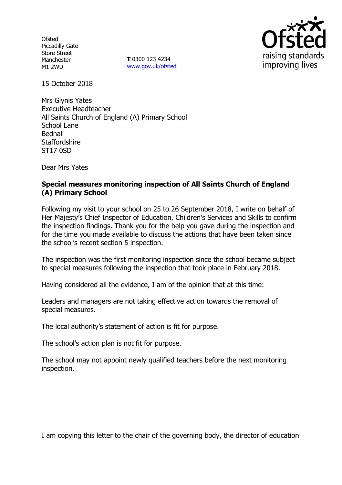**Ofsted** Piccadilly Gate Store Street Manchester M1 2WD

**T** 0300 123 4234 www.gov.uk/ofsted



15 October 2018

Mrs Glynis Yates Executive Headteacher All Saints Church of England (A) Primary School School Lane Bednall **Staffordshire** ST17 0SD

Dear Mrs Yates

# **Special measures monitoring inspection of All Saints Church of England (A) Primary School**

Following my visit to your school on 25 to 26 September 2018, I write on behalf of Her Majesty's Chief Inspector of Education, Children's Services and Skills to confirm the inspection findings. Thank you for the help you gave during the inspection and for the time you made available to discuss the actions that have been taken since the school's recent section 5 inspection.

The inspection was the first monitoring inspection since the school became subject to special measures following the inspection that took place in February 2018.

Having considered all the evidence, I am of the opinion that at this time:

Leaders and managers are not taking effective action towards the removal of special measures.

The local authority's statement of action is fit for purpose.

The school's action plan is not fit for purpose.

The school may not appoint newly qualified teachers before the next monitoring inspection.

I am copying this letter to the chair of the governing body, the director of education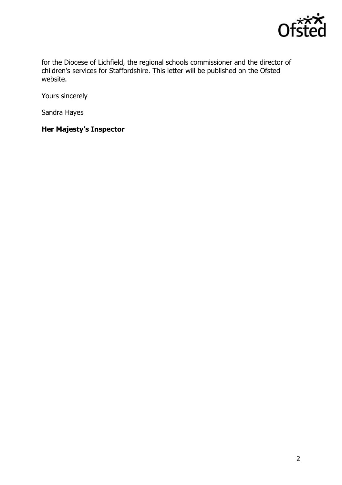

for the Diocese of Lichfield, the regional schools commissioner and the director of children's services for Staffordshire. This letter will be published on the Ofsted website.

Yours sincerely

Sandra Hayes

**Her Majesty's Inspector**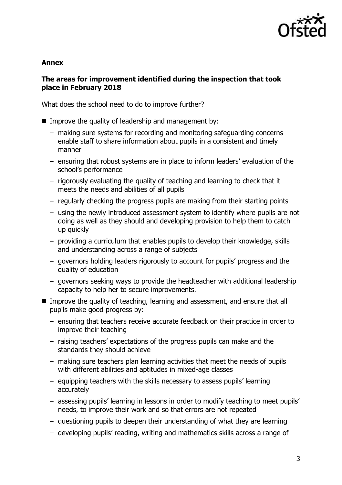

### **Annex**

## **The areas for improvement identified during the inspection that took place in February 2018**

What does the school need to do to improve further?

- Improve the quality of leadership and management by:
	- making sure systems for recording and monitoring safeguarding concerns enable staff to share information about pupils in a consistent and timely manner
	- ensuring that robust systems are in place to inform leaders' evaluation of the school's performance
	- rigorously evaluating the quality of teaching and learning to check that it meets the needs and abilities of all pupils
	- regularly checking the progress pupils are making from their starting points
	- using the newly introduced assessment system to identify where pupils are not doing as well as they should and developing provision to help them to catch up quickly
	- providing a curriculum that enables pupils to develop their knowledge, skills and understanding across a range of subjects
	- governors holding leaders rigorously to account for pupils' progress and the quality of education
	- governors seeking ways to provide the headteacher with additional leadership capacity to help her to secure improvements.
- **IMPROVE THE QUALITY OF TEACHT AND IMAGES IN A LIGAN IN A LIGAN IN A LIGAN IN STARK AND THE INCOLLET IN A LIGAN IN THE ENGINEER** pupils make good progress by:
	- ensuring that teachers receive accurate feedback on their practice in order to improve their teaching
	- raising teachers' expectations of the progress pupils can make and the standards they should achieve
	- making sure teachers plan learning activities that meet the needs of pupils with different abilities and aptitudes in mixed-age classes
	- equipping teachers with the skills necessary to assess pupils' learning accurately
	- assessing pupils' learning in lessons in order to modify teaching to meet pupils' needs, to improve their work and so that errors are not repeated
	- questioning pupils to deepen their understanding of what they are learning
	- developing pupils' reading, writing and mathematics skills across a range of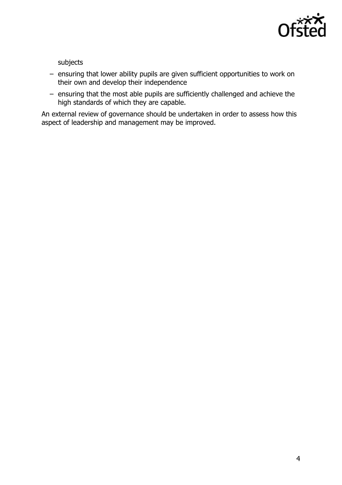

subjects

- ensuring that lower ability pupils are given sufficient opportunities to work on their own and develop their independence
- ensuring that the most able pupils are sufficiently challenged and achieve the high standards of which they are capable.

An external review of governance should be undertaken in order to assess how this aspect of leadership and management may be improved.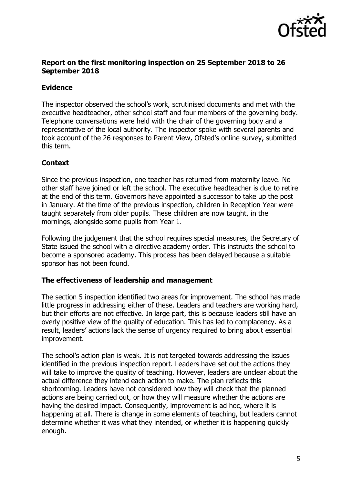

### **Report on the first monitoring inspection on 25 September 2018 to 26 September 2018**

# **Evidence**

The inspector observed the school's work, scrutinised documents and met with the executive headteacher, other school staff and four members of the governing body. Telephone conversations were held with the chair of the governing body and a representative of the local authority. The inspector spoke with several parents and took account of the 26 responses to Parent View, Ofsted's online survey, submitted this term.

# **Context**

Since the previous inspection, one teacher has returned from maternity leave. No other staff have joined or left the school. The executive headteacher is due to retire at the end of this term. Governors have appointed a successor to take up the post in January. At the time of the previous inspection, children in Reception Year were taught separately from older pupils. These children are now taught, in the mornings, alongside some pupils from Year 1.

Following the judgement that the school requires special measures, the Secretary of State issued the school with a directive academy order. This instructs the school to become a sponsored academy. This process has been delayed because a suitable sponsor has not been found.

## **The effectiveness of leadership and management**

The section 5 inspection identified two areas for improvement. The school has made little progress in addressing either of these. Leaders and teachers are working hard, but their efforts are not effective. In large part, this is because leaders still have an overly positive view of the quality of education. This has led to complacency. As a result, leaders' actions lack the sense of urgency required to bring about essential improvement.

The school's action plan is weak. It is not targeted towards addressing the issues identified in the previous inspection report. Leaders have set out the actions they will take to improve the quality of teaching. However, leaders are unclear about the actual difference they intend each action to make. The plan reflects this shortcoming. Leaders have not considered how they will check that the planned actions are being carried out, or how they will measure whether the actions are having the desired impact. Consequently, improvement is ad hoc, where it is happening at all. There is change in some elements of teaching, but leaders cannot determine whether it was what they intended, or whether it is happening quickly enough.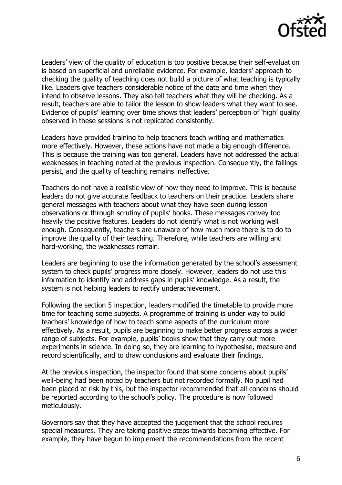

Leaders' view of the quality of education is too positive because their self-evaluation is based on superficial and unreliable evidence. For example, leaders' approach to checking the quality of teaching does not build a picture of what teaching is typically like. Leaders give teachers considerable notice of the date and time when they intend to observe lessons. They also tell teachers what they will be checking. As a result, teachers are able to tailor the lesson to show leaders what they want to see. Evidence of pupils' learning over time shows that leaders' perception of 'high' quality observed in these sessions is not replicated consistently.

Leaders have provided training to help teachers teach writing and mathematics more effectively. However, these actions have not made a big enough difference. This is because the training was too general. Leaders have not addressed the actual weaknesses in teaching noted at the previous inspection. Consequently, the failings persist, and the quality of teaching remains ineffective.

Teachers do not have a realistic view of how they need to improve. This is because leaders do not give accurate feedback to teachers on their practice. Leaders share general messages with teachers about what they have seen during lesson observations or through scrutiny of pupils' books. These messages convey too heavily the positive features. Leaders do not identify what is not working well enough. Consequently, teachers are unaware of how much more there is to do to improve the quality of their teaching. Therefore, while teachers are willing and hard-working, the weaknesses remain.

Leaders are beginning to use the information generated by the school's assessment system to check pupils' progress more closely. However, leaders do not use this information to identify and address gaps in pupils' knowledge. As a result, the system is not helping leaders to rectify underachievement.

Following the section 5 inspection, leaders modified the timetable to provide more time for teaching some subjects. A programme of training is under way to build teachers' knowledge of how to teach some aspects of the curriculum more effectively. As a result, pupils are beginning to make better progress across a wider range of subjects. For example, pupils' books show that they carry out more experiments in science. In doing so, they are learning to hypothesise, measure and record scientifically, and to draw conclusions and evaluate their findings.

At the previous inspection, the inspector found that some concerns about pupils' well-being had been noted by teachers but not recorded formally. No pupil had been placed at risk by this, but the inspector recommended that all concerns should be reported according to the school's policy. The procedure is now followed meticulously.

Governors say that they have accepted the judgement that the school requires special measures. They are taking positive steps towards becoming effective. For example, they have begun to implement the recommendations from the recent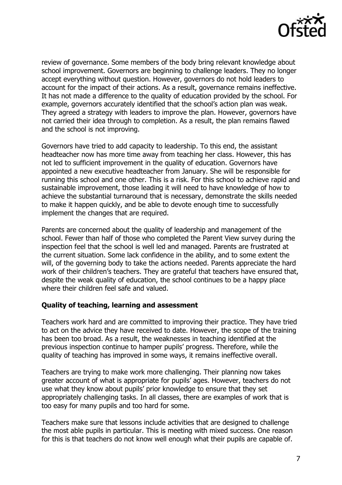

review of governance. Some members of the body bring relevant knowledge about school improvement. Governors are beginning to challenge leaders. They no longer accept everything without question. However, governors do not hold leaders to account for the impact of their actions. As a result, governance remains ineffective. It has not made a difference to the quality of education provided by the school. For example, governors accurately identified that the school's action plan was weak. They agreed a strategy with leaders to improve the plan. However, governors have not carried their idea through to completion. As a result, the plan remains flawed and the school is not improving.

Governors have tried to add capacity to leadership. To this end, the assistant headteacher now has more time away from teaching her class. However, this has not led to sufficient improvement in the quality of education. Governors have appointed a new executive headteacher from January. She will be responsible for running this school and one other. This is a risk. For this school to achieve rapid and sustainable improvement, those leading it will need to have knowledge of how to achieve the substantial turnaround that is necessary, demonstrate the skills needed to make it happen quickly, and be able to devote enough time to successfully implement the changes that are required.

Parents are concerned about the quality of leadership and management of the school. Fewer than half of those who completed the Parent View survey during the inspection feel that the school is well led and managed. Parents are frustrated at the current situation. Some lack confidence in the ability, and to some extent the will, of the governing body to take the actions needed. Parents appreciate the hard work of their children's teachers. They are grateful that teachers have ensured that, despite the weak quality of education, the school continues to be a happy place where their children feel safe and valued.

#### **Quality of teaching, learning and assessment**

Teachers work hard and are committed to improving their practice. They have tried to act on the advice they have received to date. However, the scope of the training has been too broad. As a result, the weaknesses in teaching identified at the previous inspection continue to hamper pupils' progress. Therefore, while the quality of teaching has improved in some ways, it remains ineffective overall.

Teachers are trying to make work more challenging. Their planning now takes greater account of what is appropriate for pupils' ages. However, teachers do not use what they know about pupils' prior knowledge to ensure that they set appropriately challenging tasks. In all classes, there are examples of work that is too easy for many pupils and too hard for some.

Teachers make sure that lessons include activities that are designed to challenge the most able pupils in particular. This is meeting with mixed success. One reason for this is that teachers do not know well enough what their pupils are capable of.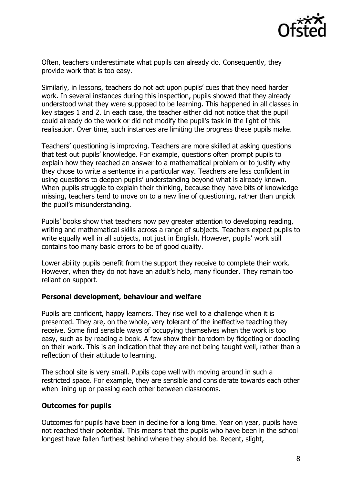

Often, teachers underestimate what pupils can already do. Consequently, they provide work that is too easy.

Similarly, in lessons, teachers do not act upon pupils' cues that they need harder work. In several instances during this inspection, pupils showed that they already understood what they were supposed to be learning. This happened in all classes in key stages 1 and 2. In each case, the teacher either did not notice that the pupil could already do the work or did not modify the pupil's task in the light of this realisation. Over time, such instances are limiting the progress these pupils make.

Teachers' questioning is improving. Teachers are more skilled at asking questions that test out pupils' knowledge. For example, questions often prompt pupils to explain how they reached an answer to a mathematical problem or to justify why they chose to write a sentence in a particular way. Teachers are less confident in using questions to deepen pupils' understanding beyond what is already known. When pupils struggle to explain their thinking, because they have bits of knowledge missing, teachers tend to move on to a new line of questioning, rather than unpick the pupil's misunderstanding.

Pupils' books show that teachers now pay greater attention to developing reading, writing and mathematical skills across a range of subjects. Teachers expect pupils to write equally well in all subjects, not just in English. However, pupils' work still contains too many basic errors to be of good quality.

Lower ability pupils benefit from the support they receive to complete their work. However, when they do not have an adult's help, many flounder. They remain too reliant on support.

#### **Personal development, behaviour and welfare**

Pupils are confident, happy learners. They rise well to a challenge when it is presented. They are, on the whole, very tolerant of the ineffective teaching they receive. Some find sensible ways of occupying themselves when the work is too easy, such as by reading a book. A few show their boredom by fidgeting or doodling on their work. This is an indication that they are not being taught well, rather than a reflection of their attitude to learning.

The school site is very small. Pupils cope well with moving around in such a restricted space. For example, they are sensible and considerate towards each other when lining up or passing each other between classrooms.

## **Outcomes for pupils**

Outcomes for pupils have been in decline for a long time. Year on year, pupils have not reached their potential. This means that the pupils who have been in the school longest have fallen furthest behind where they should be. Recent, slight,